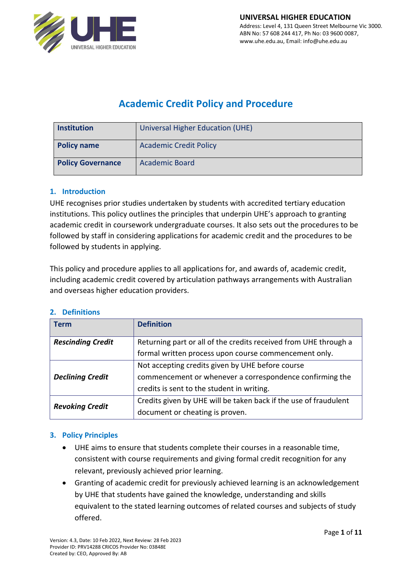

# **Academic Credit Policy and Procedure**

| <b>Institution</b>       | Universal Higher Education (UHE) |
|--------------------------|----------------------------------|
| <b>Policy name</b>       | <b>Academic Credit Policy</b>    |
| <b>Policy Governance</b> | <b>Academic Board</b>            |

### **1. Introduction**

UHE recognises prior studies undertaken by students with accredited tertiary education institutions. This policy outlines the principles that underpin UHE's approach to granting academic credit in coursework undergraduate courses. It also sets out the procedures to be followed by staff in considering applications for academic credit and the procedures to be followed by students in applying.

This policy and procedure applies to all applications for, and awards of, academic credit, including academic credit covered by articulation pathways arrangements with Australian and overseas higher education providers.

| 2. |  | <b>Definitions</b> |
|----|--|--------------------|
|    |  |                    |

| <b>Term</b>              | <b>Definition</b>                                                |  |
|--------------------------|------------------------------------------------------------------|--|
| <b>Rescinding Credit</b> | Returning part or all of the credits received from UHE through a |  |
|                          | formal written process upon course commencement only.            |  |
|                          | Not accepting credits given by UHE before course                 |  |
| <b>Declining Credit</b>  | commencement or whenever a correspondence confirming the         |  |
|                          | credits is sent to the student in writing.                       |  |
| <b>Revoking Credit</b>   | Credits given by UHE will be taken back if the use of fraudulent |  |
|                          | document or cheating is proven.                                  |  |

### **3. Policy Principles**

- UHE aims to ensure that students complete their courses in a reasonable time, consistent with course requirements and giving formal credit recognition for any relevant, previously achieved prior learning.
- Granting of academic credit for previously achieved learning is an acknowledgement by UHE that students have gained the knowledge, understanding and skills equivalent to the stated learning outcomes of related courses and subjects of study offered.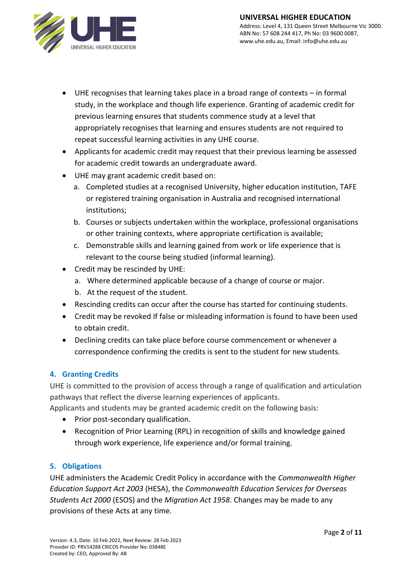

- UHE recognises that learning takes place in a broad range of contexts in formal study, in the workplace and though life experience. Granting of academic credit for previous learning ensures that students commence study at a level that appropriately recognises that learning and ensures students are not required to repeat successful learning activities in any UHE course.
- Applicants for academic credit may request that their previous learning be assessed for academic credit towards an undergraduate award.
- UHE may grant academic credit based on:
	- a. Completed studies at a recognised University, higher education institution, TAFE or registered training organisation in Australia and recognised international institutions;
	- b. Courses or subjects undertaken within the workplace, professional organisations or other training contexts, where appropriate certification is available;
	- c. Demonstrable skills and learning gained from work or life experience that is relevant to the course being studied (informal learning).
- Credit may be rescinded by UHE:
	- a. Where determined applicable because of a change of course or major.
	- b. At the request of the student.
- Rescinding credits can occur after the course has started for continuing students.
- Credit may be revoked If false or misleading information is found to have been used to obtain credit.
- Declining credits can take place before course commencement or whenever a correspondence confirming the credits is sent to the student for new students.

# **4. Granting Credits**

UHE is committed to the provision of access through a range of qualification and articulation pathways that reflect the diverse learning experiences of applicants.

Applicants and students may be granted academic credit on the following basis:

- Prior post-secondary qualification.
- Recognition of Prior Learning (RPL) in recognition of skills and knowledge gained through work experience, life experience and/or formal training.

# **5. Obligations**

UHE administers the Academic Credit Policy in accordance with the *Commonwealth Higher Education Support Act 2003* (HESA), the *Commonwealth Education Services for Overseas Students Act 2000* (ESOS) and the *Migration Act 1958*. Changes may be made to any provisions of these Acts at any time.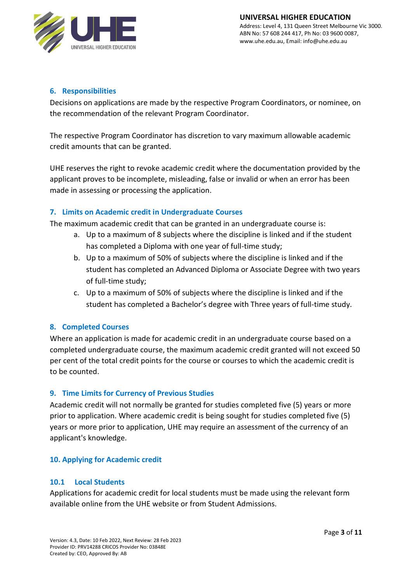

#### **6. Responsibilities**

Decisions on applications are made by the respective Program Coordinators, or nominee, on the recommendation of the relevant Program Coordinator.

The respective Program Coordinator has discretion to vary maximum allowable academic credit amounts that can be granted.

UHE reserves the right to revoke academic credit where the documentation provided by the applicant proves to be incomplete, misleading, false or invalid or when an error has been made in assessing or processing the application.

### **7. Limits on Academic credit in Undergraduate Courses**

The maximum academic credit that can be granted in an undergraduate course is:

- a. Up to a maximum of 8 subjects where the discipline is linked and if the student has completed a Diploma with one year of full-time study;
- b. Up to a maximum of 50% of subjects where the discipline is linked and if the student has completed an Advanced Diploma or Associate Degree with two years of full-time study;
- c. Up to a maximum of 50% of subjects where the discipline is linked and if the student has completed a Bachelor's degree with Three years of full-time study.

### **8. Completed Courses**

Where an application is made for academic credit in an undergraduate course based on a completed undergraduate course, the maximum academic credit granted will not exceed 50 per cent of the total credit points for the course or courses to which the academic credit is to be counted.

### **9. Time Limits for Currency of Previous Studies**

Academic credit will not normally be granted for studies completed five (5) years or more prior to application. Where academic credit is being sought for studies completed five (5) years or more prior to application, UHE may require an assessment of the currency of an applicant's knowledge.

#### **10. Applying for Academic credit**

#### **10.1 Local Students**

Applications for academic credit for local students must be made using the relevant form available online from the UHE website or from Student Admissions.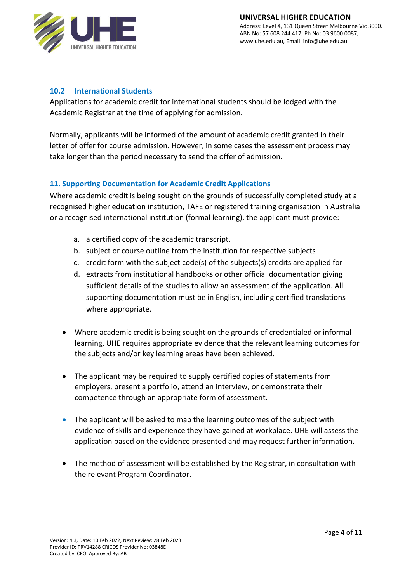

#### **10.2 International Students**

Applications for academic credit for international students should be lodged with the Academic Registrar at the time of applying for admission.

Normally, applicants will be informed of the amount of academic credit granted in their letter of offer for course admission. However, in some cases the assessment process may take longer than the period necessary to send the offer of admission.

#### **11. Supporting Documentation for Academic Credit Applications**

Where academic credit is being sought on the grounds of successfully completed study at a recognised higher education institution, TAFE or registered training organisation in Australia or a recognised international institution (formal learning), the applicant must provide:

- a. a certified copy of the academic transcript.
- b. subject or course outline from the institution for respective subjects
- c. credit form with the subject code(s) of the subjects(s) credits are applied for
- d. extracts from institutional handbooks or other official documentation giving sufficient details of the studies to allow an assessment of the application. All supporting documentation must be in English, including certified translations where appropriate.
- Where academic credit is being sought on the grounds of credentialed or informal learning, UHE requires appropriate evidence that the relevant learning outcomes for the subjects and/or key learning areas have been achieved.
- The applicant may be required to supply certified copies of statements from employers, present a portfolio, attend an interview, or demonstrate their competence through an appropriate form of assessment.
- The applicant will be asked to map the learning outcomes of the subject with evidence of skills and experience they have gained at workplace. UHE will assess the application based on the evidence presented and may request further information.
- The method of assessment will be established by the Registrar, in consultation with the relevant Program Coordinator.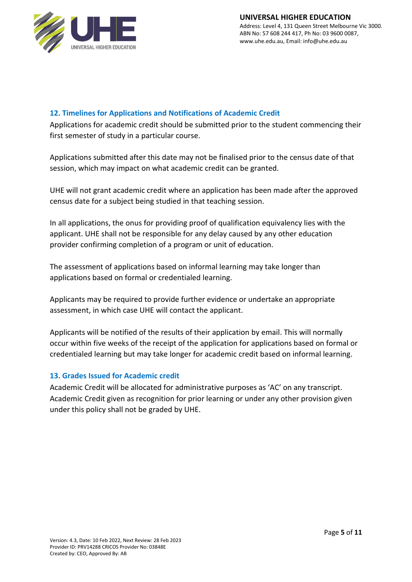

### **12. Timelines for Applications and Notifications of Academic Credit**

Applications for academic credit should be submitted prior to the student commencing their first semester of study in a particular course.

Applications submitted after this date may not be finalised prior to the census date of that session, which may impact on what academic credit can be granted.

UHE will not grant academic credit where an application has been made after the approved census date for a subject being studied in that teaching session.

In all applications, the onus for providing proof of qualification equivalency lies with the applicant. UHE shall not be responsible for any delay caused by any other education provider confirming completion of a program or unit of education.

The assessment of applications based on informal learning may take longer than applications based on formal or credentialed learning.

Applicants may be required to provide further evidence or undertake an appropriate assessment, in which case UHE will contact the applicant.

Applicants will be notified of the results of their application by email. This will normally occur within five weeks of the receipt of the application for applications based on formal or credentialed learning but may take longer for academic credit based on informal learning.

### **13. Grades Issued for Academic credit**

Academic Credit will be allocated for administrative purposes as 'AC' on any transcript. Academic Credit given as recognition for prior learning or under any other provision given under this policy shall not be graded by UHE.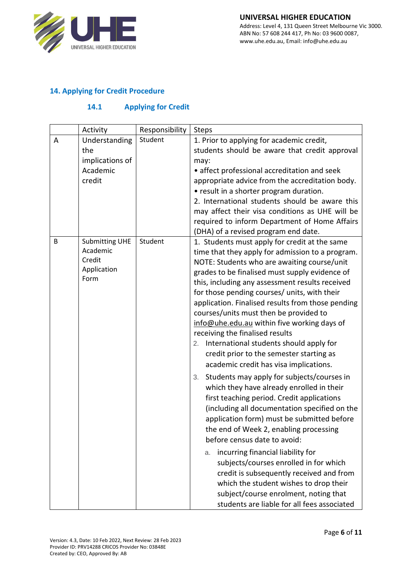

## **14. Applying for Credit Procedure**

## **14.1 Applying for Credit**

|   | Activity                                                           | Responsibility | <b>Steps</b>                                                                                                                                                                                                                                                                                                                                                                                                                                                                                                                                                                                                                                                                                                                                                                                                                                                                                                                                                                                                                                                                                                                                                                                                          |
|---|--------------------------------------------------------------------|----------------|-----------------------------------------------------------------------------------------------------------------------------------------------------------------------------------------------------------------------------------------------------------------------------------------------------------------------------------------------------------------------------------------------------------------------------------------------------------------------------------------------------------------------------------------------------------------------------------------------------------------------------------------------------------------------------------------------------------------------------------------------------------------------------------------------------------------------------------------------------------------------------------------------------------------------------------------------------------------------------------------------------------------------------------------------------------------------------------------------------------------------------------------------------------------------------------------------------------------------|
| Α | Understanding<br>the<br>implications of<br>Academic<br>credit      | Student        | 1. Prior to applying for academic credit,<br>students should be aware that credit approval<br>may:<br>• affect professional accreditation and seek<br>appropriate advice from the accreditation body.<br>• result in a shorter program duration.<br>2. International students should be aware this<br>may affect their visa conditions as UHE will be<br>required to inform Department of Home Affairs<br>(DHA) of a revised program end date.                                                                                                                                                                                                                                                                                                                                                                                                                                                                                                                                                                                                                                                                                                                                                                        |
| B | <b>Submitting UHE</b><br>Academic<br>Credit<br>Application<br>Form | Student        | 1. Students must apply for credit at the same<br>time that they apply for admission to a program.<br>NOTE: Students who are awaiting course/unit<br>grades to be finalised must supply evidence of<br>this, including any assessment results received<br>for those pending courses/ units, with their<br>application. Finalised results from those pending<br>courses/units must then be provided to<br>info@uhe.edu.au within five working days of<br>receiving the finalised results<br>2. International students should apply for<br>credit prior to the semester starting as<br>academic credit has visa implications.<br>Students may apply for subjects/courses in<br>3.<br>which they have already enrolled in their<br>first teaching period. Credit applications<br>(including all documentation specified on the<br>application form) must be submitted before<br>the end of Week 2, enabling processing<br>before census date to avoid:<br>incurring financial liability for<br>a.<br>subjects/courses enrolled in for which<br>credit is subsequently received and from<br>which the student wishes to drop their<br>subject/course enrolment, noting that<br>students are liable for all fees associated |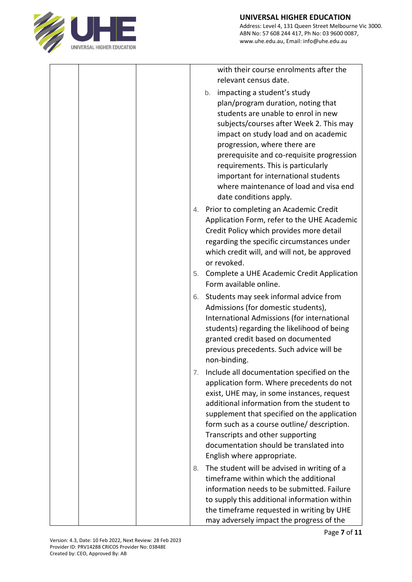

|  |    | with their course enrolments after the<br>relevant census date.<br>impacting a student's study<br>b.<br>plan/program duration, noting that<br>students are unable to enrol in new<br>subjects/courses after Week 2. This may<br>impact on study load and on academic<br>progression, where there are<br>prerequisite and co-requisite progression<br>requirements. This is particularly<br>important for international students<br>where maintenance of load and visa end<br>date conditions apply. |
|--|----|-----------------------------------------------------------------------------------------------------------------------------------------------------------------------------------------------------------------------------------------------------------------------------------------------------------------------------------------------------------------------------------------------------------------------------------------------------------------------------------------------------|
|  |    | 4. Prior to completing an Academic Credit<br>Application Form, refer to the UHE Academic<br>Credit Policy which provides more detail<br>regarding the specific circumstances under<br>which credit will, and will not, be approved<br>or revoked.                                                                                                                                                                                                                                                   |
|  | 5. | Complete a UHE Academic Credit Application<br>Form available online.                                                                                                                                                                                                                                                                                                                                                                                                                                |
|  | 6. | Students may seek informal advice from<br>Admissions (for domestic students),<br>International Admissions (for international<br>students) regarding the likelihood of being<br>granted credit based on documented<br>previous precedents. Such advice will be<br>non-binding.                                                                                                                                                                                                                       |
|  | 7. | Include all documentation specified on the<br>application form. Where precedents do not<br>exist, UHE may, in some instances, request<br>additional information from the student to<br>supplement that specified on the application<br>form such as a course outline/ description.<br>Transcripts and other supporting<br>documentation should be translated into<br>English where appropriate.                                                                                                     |
|  | 8. | The student will be advised in writing of a<br>timeframe within which the additional<br>information needs to be submitted. Failure<br>to supply this additional information within<br>the timeframe requested in writing by UHE<br>may adversely impact the progress of the                                                                                                                                                                                                                         |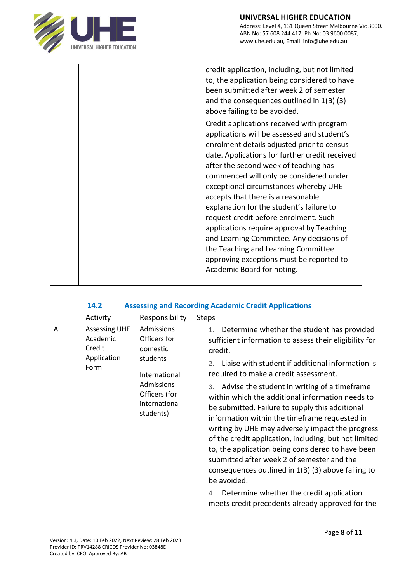

|  | credit application, including, but not limited<br>to, the application being considered to have<br>been submitted after week 2 of semester<br>and the consequences outlined in $1(B)$ (3)<br>above failing to be avoided.                                                                                                                                                                                                                                                                                                                                                                                                                                   |
|--|------------------------------------------------------------------------------------------------------------------------------------------------------------------------------------------------------------------------------------------------------------------------------------------------------------------------------------------------------------------------------------------------------------------------------------------------------------------------------------------------------------------------------------------------------------------------------------------------------------------------------------------------------------|
|  | Credit applications received with program<br>applications will be assessed and student's<br>enrolment details adjusted prior to census<br>date. Applications for further credit received<br>after the second week of teaching has<br>commenced will only be considered under<br>exceptional circumstances whereby UHE<br>accepts that there is a reasonable<br>explanation for the student's failure to<br>request credit before enrolment. Such<br>applications require approval by Teaching<br>and Learning Committee. Any decisions of<br>the Teaching and Learning Committee<br>approving exceptions must be reported to<br>Academic Board for noting. |

#### **14.2 Assessing and Recording Academic Credit Applications**

| Responsibility<br>Activity                                                                                                                                                                                  | <b>Steps</b>                                                                                                                                                                                                                                                                                                                                                                                                                                                                                                                                                                                                                                                                                                                                                                                                                  |
|-------------------------------------------------------------------------------------------------------------------------------------------------------------------------------------------------------------|-------------------------------------------------------------------------------------------------------------------------------------------------------------------------------------------------------------------------------------------------------------------------------------------------------------------------------------------------------------------------------------------------------------------------------------------------------------------------------------------------------------------------------------------------------------------------------------------------------------------------------------------------------------------------------------------------------------------------------------------------------------------------------------------------------------------------------|
| Admissions<br>Α.<br><b>Assessing UHE</b><br>Academic<br>Officers for<br>Credit<br>domestic<br>Application<br>students<br>Form<br>International<br>Admissions<br>Officers (for<br>international<br>students) | Determine whether the student has provided<br>1.<br>sufficient information to assess their eligibility for<br>credit.<br>Liaise with student if additional information is<br>2.<br>required to make a credit assessment.<br>3. Advise the student in writing of a timeframe<br>within which the additional information needs to<br>be submitted. Failure to supply this additional<br>information within the timeframe requested in<br>writing by UHE may adversely impact the progress<br>of the credit application, including, but not limited<br>to, the application being considered to have been<br>submitted after week 2 of semester and the<br>consequences outlined in $1(B)$ (3) above failing to<br>be avoided.<br>4. Determine whether the credit application<br>meets credit precedents already approved for the |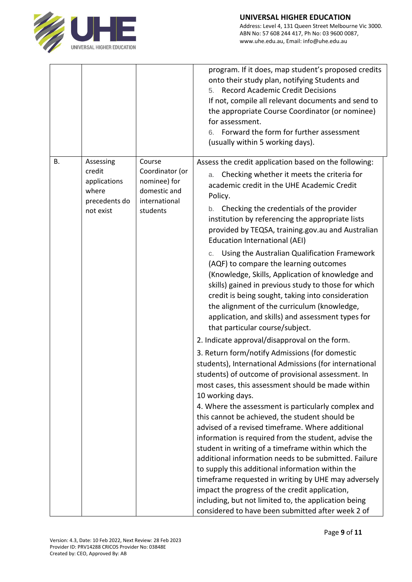

Address: Level 4, 131 Queen Street Melbourne Vic 3000. ABN No: 57 608 244 417, Ph No: 03 9600 0087, www.uhe.edu.au, Email: info@uhe.edu.au

|    |                                                                            |                                                                                        | program. If it does, map student's proposed credits<br>onto their study plan, notifying Students and<br><b>Record Academic Credit Decisions</b><br>5.<br>If not, compile all relevant documents and send to<br>the appropriate Course Coordinator (or nominee)<br>for assessment.<br>Forward the form for further assessment<br>6.<br>(usually within 5 working days).                                                                                                                                                                                                                                                                                                                                                                                                                                                                                                                                                                                                                                                                                                                                                                                                                                                                                                                                                                                                                                                                                                                                                                                                                                                                                                                 |
|----|----------------------------------------------------------------------------|----------------------------------------------------------------------------------------|----------------------------------------------------------------------------------------------------------------------------------------------------------------------------------------------------------------------------------------------------------------------------------------------------------------------------------------------------------------------------------------------------------------------------------------------------------------------------------------------------------------------------------------------------------------------------------------------------------------------------------------------------------------------------------------------------------------------------------------------------------------------------------------------------------------------------------------------------------------------------------------------------------------------------------------------------------------------------------------------------------------------------------------------------------------------------------------------------------------------------------------------------------------------------------------------------------------------------------------------------------------------------------------------------------------------------------------------------------------------------------------------------------------------------------------------------------------------------------------------------------------------------------------------------------------------------------------------------------------------------------------------------------------------------------------|
| В. | Assessing<br>credit<br>applications<br>where<br>precedents do<br>not exist | Course<br>Coordinator (or<br>nominee) for<br>domestic and<br>international<br>students | Assess the credit application based on the following:<br>Checking whether it meets the criteria for<br>a.<br>academic credit in the UHE Academic Credit<br>Policy.<br>Checking the credentials of the provider<br>b.<br>institution by referencing the appropriate lists<br>provided by TEQSA, training.gov.au and Australian<br><b>Education International (AEI)</b><br>Using the Australian Qualification Framework<br>С.<br>(AQF) to compare the learning outcomes<br>(Knowledge, Skills, Application of knowledge and<br>skills) gained in previous study to those for which<br>credit is being sought, taking into consideration<br>the alignment of the curriculum (knowledge,<br>application, and skills) and assessment types for<br>that particular course/subject.<br>2. Indicate approval/disapproval on the form.<br>3. Return form/notify Admissions (for domestic<br>students), International Admissions (for international<br>students) of outcome of provisional assessment. In<br>most cases, this assessment should be made within<br>10 working days.<br>4. Where the assessment is particularly complex and<br>this cannot be achieved, the student should be<br>advised of a revised timeframe. Where additional<br>information is required from the student, advise the<br>student in writing of a timeframe within which the<br>additional information needs to be submitted. Failure<br>to supply this additional information within the<br>timeframe requested in writing by UHE may adversely<br>impact the progress of the credit application,<br>including, but not limited to, the application being<br>considered to have been submitted after week 2 of |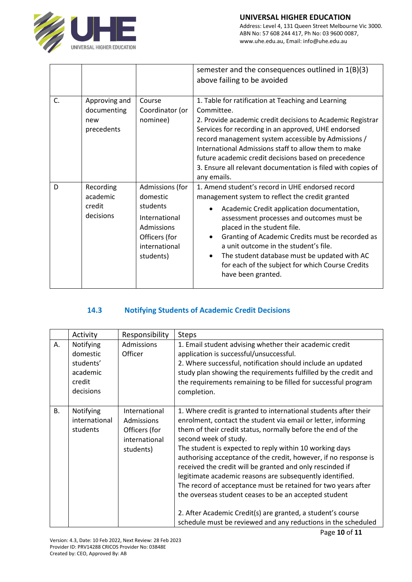

#### **UNIVERSAL HIGHER EDUCATION**

Address: Level 4, 131 Queen Street Melbourne Vic 3000. ABN No: 57 608 244 417, Ph No: 03 9600 0087, www.uhe.edu.au, Email: info@uhe.edu.au

|    |                                                   |                                                                                                                       | semester and the consequences outlined in $1(B)(3)$<br>above failing to be avoided                                                                                                                                                                                                                                                                                                                                                                                          |
|----|---------------------------------------------------|-----------------------------------------------------------------------------------------------------------------------|-----------------------------------------------------------------------------------------------------------------------------------------------------------------------------------------------------------------------------------------------------------------------------------------------------------------------------------------------------------------------------------------------------------------------------------------------------------------------------|
| C. | Approving and<br>documenting<br>new<br>precedents | Course<br>Coordinator (or<br>nominee)                                                                                 | 1. Table for ratification at Teaching and Learning<br>Committee.<br>2. Provide academic credit decisions to Academic Registrar<br>Services for recording in an approved, UHE endorsed<br>record management system accessible by Admissions /<br>International Admissions staff to allow them to make<br>future academic credit decisions based on precedence<br>3. Ensure all relevant documentation is filed with copies of<br>any emails.                                 |
| D  | Recording<br>academic<br>credit<br>decisions      | Admissions (for<br>domestic<br>students<br>International<br>Admissions<br>Officers (for<br>international<br>students) | 1. Amend student's record in UHE endorsed record<br>management system to reflect the credit granted<br>Academic Credit application documentation,<br>٠<br>assessment processes and outcomes must be<br>placed in the student file.<br>Granting of Academic Credits must be recorded as<br>$\bullet$<br>a unit outcome in the student's file.<br>The student database must be updated with AC<br>٠<br>for each of the subject for which Course Credits<br>have been granted. |

# **14.3 Notifying Students of Academic Credit Decisions**

|    | Activity                                                              | Responsibility                                                             | <b>Steps</b>                                                                                                                                                                                                                                                                                                                                                                                                                                                                                                                                                                                                                                                                                                                                |
|----|-----------------------------------------------------------------------|----------------------------------------------------------------------------|---------------------------------------------------------------------------------------------------------------------------------------------------------------------------------------------------------------------------------------------------------------------------------------------------------------------------------------------------------------------------------------------------------------------------------------------------------------------------------------------------------------------------------------------------------------------------------------------------------------------------------------------------------------------------------------------------------------------------------------------|
| А. | Notifying<br>domestic<br>students'<br>academic<br>credit<br>decisions | Admissions<br>Officer                                                      | 1. Email student advising whether their academic credit<br>application is successful/unsuccessful.<br>2. Where successful, notification should include an updated<br>study plan showing the requirements fulfilled by the credit and<br>the requirements remaining to be filled for successful program<br>completion.                                                                                                                                                                                                                                                                                                                                                                                                                       |
| В. | Notifying<br>international<br>students                                | International<br>Admissions<br>Officers (for<br>international<br>students) | 1. Where credit is granted to international students after their<br>enrolment, contact the student via email or letter, informing<br>them of their credit status, normally before the end of the<br>second week of study.<br>The student is expected to reply within 10 working days<br>authorising acceptance of the credit, however, if no response is<br>received the credit will be granted and only rescinded if<br>legitimate academic reasons are subsequently identified.<br>The record of acceptance must be retained for two years after<br>the overseas student ceases to be an accepted student<br>2. After Academic Credit(s) are granted, a student's course<br>schedule must be reviewed and any reductions in the scheduled |